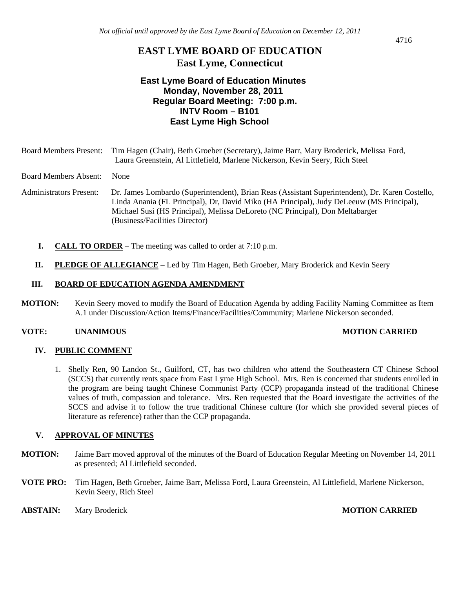# **EAST LYME BOARD OF EDUCATION East Lyme, Connecticut**

## **East Lyme Board of Education Minutes Monday, November 28, 2011 Regular Board Meeting: 7:00 p.m. INTV Room – B101 East Lyme High School**

| <b>Board Members Present:</b>  | Tim Hagen (Chair), Beth Groeber (Secretary), Jaime Barr, Mary Broderick, Melissa Ford,<br>Laura Greenstein, Al Littlefield, Marlene Nickerson, Kevin Seery, Rich Steel                                                                                                                                         |
|--------------------------------|----------------------------------------------------------------------------------------------------------------------------------------------------------------------------------------------------------------------------------------------------------------------------------------------------------------|
| <b>Board Members Absent:</b>   | <b>None</b>                                                                                                                                                                                                                                                                                                    |
| <b>Administrators Present:</b> | Dr. James Lombardo (Superintendent), Brian Reas (Assistant Superintendent), Dr. Karen Costello,<br>Linda Anania (FL Principal), Dr, David Miko (HA Principal), Judy DeLeeuw (MS Principal),<br>Michael Susi (HS Principal), Melissa DeLoreto (NC Principal), Don Meltabarger<br>(Business/Facilities Director) |
|                                | <b>CALL TO ORDER</b> – The meeting was called to order at $7:10$ p.m.                                                                                                                                                                                                                                          |

**II. PLEDGE OF ALLEGIANCE** – Led by Tim Hagen, Beth Groeber, Mary Broderick and Kevin Seery

### **III. BOARD OF EDUCATION AGENDA AMENDMENT**

**MOTION:** Kevin Seery moved to modify the Board of Education Agenda by adding Facility Naming Committee as Item A.1 under Discussion/Action Items/Finance/Facilities/Community; Marlene Nickerson seconded.

### **VOTE: UNANIMOUS MOTION CARRIED**

### **IV. PUBLIC COMMENT**

1. Shelly Ren, 90 Landon St., Guilford, CT, has two children who attend the Southeastern CT Chinese School (SCCS) that currently rents space from East Lyme High School. Mrs. Ren is concerned that students enrolled in the program are being taught Chinese Communist Party (CCP) propaganda instead of the traditional Chinese values of truth, compassion and tolerance. Mrs. Ren requested that the Board investigate the activities of the SCCS and advise it to follow the true traditional Chinese culture (for which she provided several pieces of literature as reference) rather than the CCP propaganda.

### **V. APPROVAL OF MINUTES**

- **MOTION:** Jaime Barr moved approval of the minutes of the Board of Education Regular Meeting on November 14, 2011 as presented; Al Littlefield seconded.
- **VOTE PRO:** Tim Hagen, Beth Groeber, Jaime Barr, Melissa Ford, Laura Greenstein, Al Littlefield, Marlene Nickerson, Kevin Seery, Rich Steel
- **ABSTAIN:** Mary Broderick **MOTION CARRIED**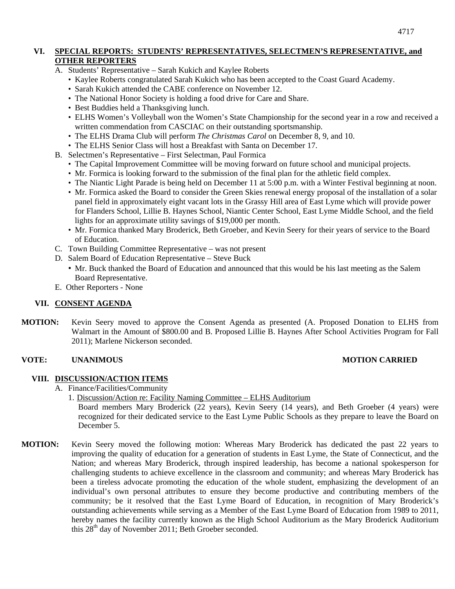## **VI. SPECIAL REPORTS: STUDENTS' REPRESENTATIVES, SELECTMEN'S REPRESENTATIVE, and OTHER REPORTERS**

- A. Students' Representative Sarah Kukich and Kaylee Roberts
	- Kaylee Roberts congratulated Sarah Kukich who has been accepted to the Coast Guard Academy.
	- Sarah Kukich attended the CABE conference on November 12.
	- The National Honor Society is holding a food drive for Care and Share.
	- Best Buddies held a Thanksgiving lunch.
	- ELHS Women's Volleyball won the Women's State Championship for the second year in a row and received a written commendation from CASCIAC on their outstanding sportsmanship.
	- The ELHS Drama Club will perform *The Christmas Carol* on December 8, 9, and 10.
	- The ELHS Senior Class will host a Breakfast with Santa on December 17.
- B. Selectmen's Representative First Selectman, Paul Formica
	- The Capital Improvement Committee will be moving forward on future school and municipal projects.
	- Mr. Formica is looking forward to the submission of the final plan for the athletic field complex.
	- The Niantic Light Parade is being held on December 11 at 5:00 p.m. with a Winter Festival beginning at noon.
	- Mr. Formica asked the Board to consider the Green Skies renewal energy proposal of the installation of a solar panel field in approximately eight vacant lots in the Grassy Hill area of East Lyme which will provide power for Flanders School, Lillie B. Haynes School, Niantic Center School, East Lyme Middle School, and the field lights for an approximate utility savings of \$19,000 per month.
	- Mr. Formica thanked Mary Broderick, Beth Groeber, and Kevin Seery for their years of service to the Board of Education.
- C. Town Building Committee Representative was not present
- D. Salem Board of Education Representative Steve Buck
	- Mr. Buck thanked the Board of Education and announced that this would be his last meeting as the Salem Board Representative.
- E. Other Reporters None

### **VII. CONSENT AGENDA**

**MOTION:** Kevin Seery moved to approve the Consent Agenda as presented (A. Proposed Donation to ELHS from Walmart in the Amount of \$800.00 and B. Proposed Lillie B. Haynes After School Activities Program for Fall 2011); Marlene Nickerson seconded.

### **VOTE: UNANIMOUS MOTION CARRIED**

### **VIII. DISCUSSION/ACTION ITEMS**

- A. Finance/Facilities/Community
	- 1. Discussion/Action re: Facility Naming Committee ELHS Auditorium

Board members Mary Broderick (22 years), Kevin Seery (14 years), and Beth Groeber (4 years) were recognized for their dedicated service to the East Lyme Public Schools as they prepare to leave the Board on December 5.

**MOTION:** Kevin Seery moved the following motion: Whereas Mary Broderick has dedicated the past 22 years to improving the quality of education for a generation of students in East Lyme, the State of Connecticut, and the Nation; and whereas Mary Broderick, through inspired leadership, has become a national spokesperson for challenging students to achieve excellence in the classroom and community; and whereas Mary Broderick has been a tireless advocate promoting the education of the whole student, emphasizing the development of an individual's own personal attributes to ensure they become productive and contributing members of the community; be it resolved that the East Lyme Board of Education, in recognition of Mary Broderick's outstanding achievements while serving as a Member of the East Lyme Board of Education from 1989 to 2011, hereby names the facility currently known as the High School Auditorium as the Mary Broderick Auditorium this 28<sup>th</sup> day of November 2011; Beth Groeber seconded.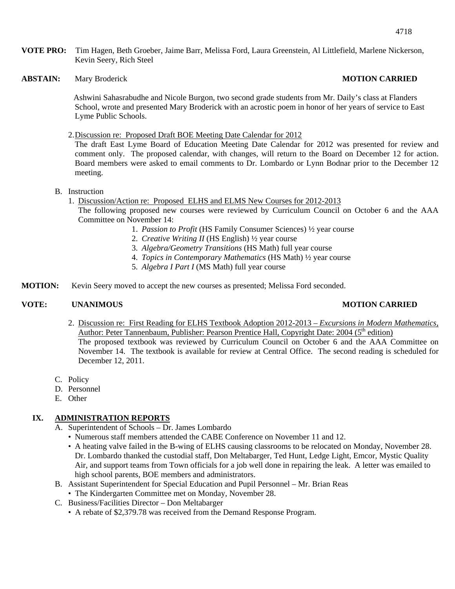**VOTE PRO:** Tim Hagen, Beth Groeber, Jaime Barr, Melissa Ford, Laura Greenstein, Al Littlefield, Marlene Nickerson, Kevin Seery, Rich Steel

**ABSTAIN:** Mary Broderick **MOTION CARRIED** 

 Ashwini Sahasrabudhe and Nicole Burgon, two second grade students from Mr. Daily's class at Flanders School, wrote and presented Mary Broderick with an acrostic poem in honor of her years of service to East Lyme Public Schools.

2.Discussion re: Proposed Draft BOE Meeting Date Calendar for 2012

The draft East Lyme Board of Education Meeting Date Calendar for 2012 was presented for review and comment only. The proposed calendar, with changes, will return to the Board on December 12 for action. Board members were asked to email comments to Dr. Lombardo or Lynn Bodnar prior to the December 12 meeting.

### B. Instruction

1. Discussion/Action re: Proposed ELHS and ELMS New Courses for 2012-2013 The following proposed new courses were reviewed by Curriculum Council on October 6 and the AAA Committee on November 14:

- 1. *Passion to Profit* (HS Family Consumer Sciences) ½ year course
- 2. *Creative Writing II* (HS English) ½ year course
- 3. *Algebra/Geometry Transitions* (HS Math) full year course
- 4. *Topics in Contemporary Mathematics* (HS Math) ½ year course
	- 5. *Algebra I Part I* (MS Math) full year course
- **MOTION:** Kevin Seery moved to accept the new courses as presented; Melissa Ford seconded.

### **VOTE: UNANIMOUS MOTION CARRIED**

- 2. Discussion re: First Reading for ELHS Textbook Adoption 2012-2013 *Excursions in Modern Mathematics,*  Author: Peter Tannenbaum, Publisher: Pearson Prentice Hall, Copyright Date: 2004 (5<sup>th</sup> edition) The proposed textbook was reviewed by Curriculum Council on October 6 and the AAA Committee on November 14. The textbook is available for review at Central Office. The second reading is scheduled for December 12, 2011.
- C. Policy
- D. Personnel
- E. Other

### **IX. ADMINISTRATION REPORTS**

- A. Superintendent of Schools Dr. James Lombardo
	- Numerous staff members attended the CABE Conference on November 11 and 12.
	- A heating valve failed in the B-wing of ELHS causing classrooms to be relocated on Monday, November 28. Dr. Lombardo thanked the custodial staff, Don Meltabarger, Ted Hunt, Ledge Light, Emcor, Mystic Quality Air, and support teams from Town officials for a job well done in repairing the leak. A letter was emailed to high school parents, BOE members and administrators.
- B. Assistant Superintendent for Special Education and Pupil Personnel Mr. Brian Reas
	- The Kindergarten Committee met on Monday, November 28.
- C. Business/Facilities Director Don Meltabarger
	- A rebate of \$2,379.78 was received from the Demand Response Program.